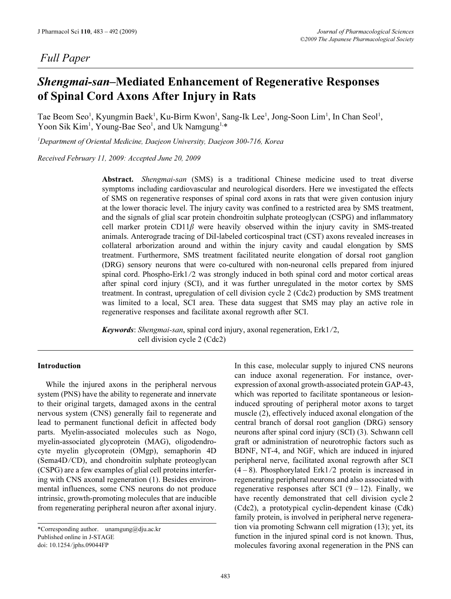# Shengmai-san–Mediated Enhancement of Regenerative Responses of Spinal Cord Axons After Injury in Rats

Tae Beom Seo<sup>1</sup>, Kyungmin Baek<sup>1</sup>, Ku-Birm Kwon<sup>1</sup>, Sang-Ik Lee<sup>1</sup>, Jong-Soon Lim<sup>1</sup>, In Chan Seol<sup>1</sup>, Yoon Sik Kim<sup>1</sup>, Young-Bae Seo<sup>1</sup>, and Uk Namgung<sup>1,\*</sup>

<sup>1</sup>Department of Oriental Medicine, Daejeon University, Daejeon 300-716, Korea

Received February 11, 2009: Accepted June 20, 2009

Abstract. Shengmai-san (SMS) is a traditional Chinese medicine used to treat diverse symptoms including cardiovascular and neurological disorders. Here we investigated the effects of SMS on regenerative responses of spinal cord axons in rats that were given contusion injury at the lower thoracic level. The injury cavity was confined to a restricted area by SMS treatment, and the signals of glial scar protein chondroitin sulphate proteoglycan (CSPG) and inflammatory cell marker protein CD11 $\beta$  were heavily observed within the injury cavity in SMS-treated animals. Anterograde tracing of DiI-labeled corticospinal tract (CST) axons revealed increases in collateral arborization around and within the injury cavity and caudal elongation by SMS treatment. Furthermore, SMS treatment facilitated neurite elongation of dorsal root ganglion (DRG) sensory neurons that were co-cultured with non-neuronal cells prepared from injured spinal cord. Phospho-Erk1/2 was strongly induced in both spinal cord and motor cortical areas after spinal cord injury (SCI), and it was further unregulated in the motor cortex by SMS treatment. In contrast, upregulation of cell division cycle 2 (Cdc2) production by SMS treatment was limited to a local, SCI area. These data suggest that SMS may play an active role in regenerative responses and facilitate axonal regrowth after SCI.

Keywords: Shengmai-san, spinal cord injury, axonal regeneration, Erk1/2, cell division cycle 2 (Cdc2)

# Introduction

While the injured axons in the peripheral nervous system (PNS) have the ability to regenerate and innervate to their original targets, damaged axons in the central nervous system (CNS) generally fail to regenerate and lead to permanent functional deficit in affected body parts. Myelin-associated molecules such as Nogo, myelin-associated glycoprotein (MAG), oligodendrocyte myelin glycoprotein (OMgp), semaphorin 4D (Sema4D/CD), and chondroitin sulphate proteoglycan (CSPG) are a few examples of glial cell proteins interfering with CNS axonal regeneration (1). Besides environmental influences, some CNS neurons do not produce intrinsic, growth-promoting molecules that are inducible from regenerating peripheral neuron after axonal injury.

In this case, molecular supply to injured CNS neurons can induce axonal regeneration. For instance, overexpression of axonal growth-associated protein GAP-43, which was reported to facilitate spontaneous or lesioninduced sprouting of peripheral motor axons to target muscle (2), effectively induced axonal elongation of the central branch of dorsal root ganglion (DRG) sensory neurons after spinal cord injury (SCI) (3). Schwann cell graft or administration of neurotrophic factors such as BDNF, NT-4, and NGF, which are induced in injured peripheral nerve, facilitated axonal regrowth after SCI  $(4-8)$ . Phosphorylated Erk1/2 protein is increased in regenerating peripheral neurons and also associated with regenerative responses after SCI  $(9-12)$ . Finally, we have recently demonstrated that cell division cycle 2 (Cdc2), a prototypical cyclin-dependent kinase (Cdk) family protein, is involved in peripheral nerve regeneration via promoting Schwann cell migration (13); yet, its function in the injured spinal cord is not known. Thus, molecules favoring axonal regeneration in the PNS can

<sup>\*</sup>Corresponding author. unamgung@dju.ac.kr Published online in J-STAGE doi: 10.1254/jphs.09044FP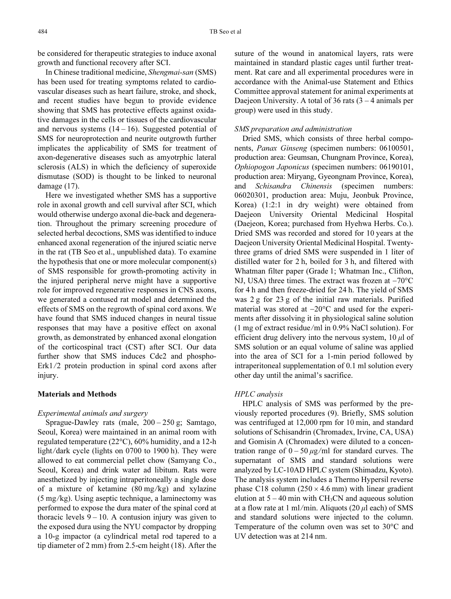be considered for therapeutic strategies to induce axonal growth and functional recovery after SCI.

In Chinese traditional medicine, Shengmai-san (SMS) has been used for treating symptoms related to cardiovascular diseases such as heart failure, stroke, and shock, and recent studies have begun to provide evidence showing that SMS has protective effects against oxidative damages in the cells or tissues of the cardiovascular and nervous systems  $(14 - 16)$ . Suggested potential of SMS for neuroprotection and neurite outgrowth further implicates the applicability of SMS for treatment of axon-degenerative diseases such as amyotrphic lateral sclerosis (ALS) in which the deficiency of superoxide dismutase (SOD) is thought to be linked to neuronal damage (17).

Here we investigated whether SMS has a supportive role in axonal growth and cell survival after SCI, which would otherwise undergo axonal die-back and degeneration. Throughout the primary screening procedure of selected herbal decoctions, SMS was identified to induce enhanced axonal regeneration of the injured sciatic nerve in the rat (TB Seo et al., unpublished data). To examine the hypothesis that one or more molecular component(s) of SMS responsible for growth-promoting activity in the injured peripheral nerve might have a supportive role for improved regenerative responses in CNS axons, we generated a contused rat model and determined the effects of SMS on the regrowth of spinal cord axons. We have found that SMS induced changes in neural tissue responses that may have a positive effect on axonal growth, as demonstrated by enhanced axonal elongation of the corticospinal tract (CST) after SCI. Our data further show that SMS induces Cdc2 and phospho-Erk1/2 protein production in spinal cord axons after injury.

## Materials and Methods

# Experimental animals and surgery

Sprague-Dawley rats (male,  $200 - 250$  g; Samtago, Seoul, Korea) were maintained in an animal room with regulated temperature (22°C), 60% humidity, and a 12-h light/dark cycle (lights on 0700 to 1900 h). They were allowed to eat commercial pellet chow (Samyang Co., Seoul, Korea) and drink water ad libitum. Rats were anesthetized by injecting intraperitoneally a single dose of a mixture of ketamine (80 mg/kg) and xylazine (5 mg/kg). Using aseptic technique, a laminectomy was performed to expose the dura mater of the spinal cord at thoracic levels  $9 - 10$ . A contusion injury was given to the exposed dura using the NYU compactor by dropping a 10-g impactor (a cylindrical metal rod tapered to a tip diameter of 2 mm) from 2.5-cm height (18). After the suture of the wound in anatomical layers, rats were maintained in standard plastic cages until further treatment. Rat care and all experimental procedures were in accordance with the Animal-use Statement and Ethics Committee approval statement for animal experiments at Daejeon University. A total of 36 rats  $(3 – 4 \text{ animals per})$ group) were used in this study.

## SMS preparation and administration

Dried SMS, which consists of three herbal components, Panax Ginseng (specimen numbers: 06100501, production area: Geumsan, Chungnam Province, Korea), Ophiopogon Japonicus (specimen numbers: 06190101, production area: Miryang, Gyeongnam Province, Korea), and Schisandra Chinensis (specimen numbers: 06020301, production area: Muju, Jeonbuk Province, Korea) (1:2:1 in dry weight) were obtained from Daejeon University Oriental Medicinal Hospital (Daejeon, Korea; purchased from Hyehwa Herbs. Co.). Dried SMS was recorded and stored for 10 years at the Daejeon University Oriental Medicinal Hospital. Twentythree grams of dried SMS were suspended in 1 liter of distilled water for 2 h, boiled for 3 h, and filtered with Whatman filter paper (Grade 1; Whatman Inc., Clifton, NJ, USA) three times. The extract was frozen at −70°C for 4 h and then freeze-dried for 24 h. The yield of SMS was 2 g for 23 g of the initial raw materials. Purified material was stored at −20°C and used for the experiments after dissolving it in physiological saline solution (1 mg of extract residue/ml in 0.9% NaCl solution). For efficient drug delivery into the nervous system,  $10 \mu l$  of SMS solution or an equal volume of saline was applied into the area of SCI for a 1-min period followed by intraperitoneal supplementation of 0.1 ml solution every other day until the animal's sacrifice.

## HPLC analysis

HPLC analysis of SMS was performed by the previously reported procedures (9). Briefly, SMS solution was centrifuged at 12,000 rpm for 10 min, and standard solutions of Schisandrin (Chromadex, Irvine, CA, USA) and Gomisin A (Chromadex) were diluted to a concentration range of  $0 - 50 \mu g/ml$  for standard curves. The supernatant of SMS and standard solutions were analyzed by LC-10AD HPLC system (Shimadzu, Kyoto). The analysis system includes a Thermo Hypersil reverse phase C18 column  $(250 \times 4.6 \text{ mm})$  with linear gradient elution at  $5 - 40$  min with CH<sub>3</sub>CN and aqueous solution at a flow rate at 1 ml/min. Aliquots (20  $\mu$ l each) of SMS and standard solutions were injected to the column. Temperature of the column oven was set to 30°C and UV detection was at 214 nm.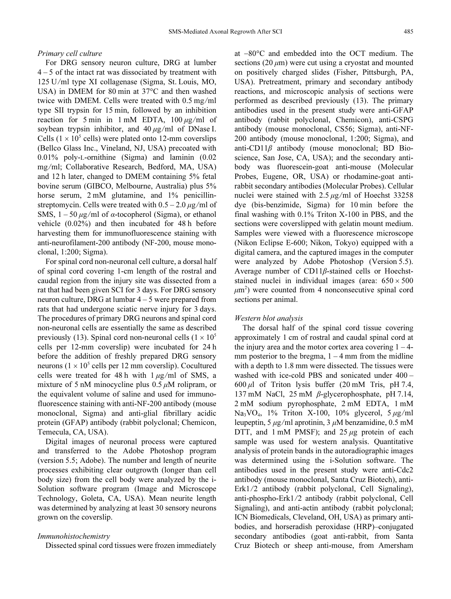# Primary cell culture

For DRG sensory neuron culture, DRG at lumber  $4 - 5$  of the intact rat was dissociated by treatment with 125 U/ml type XI collagenase (Sigma, St. Louis, MO, USA) in DMEM for 80 min at 37°C and then washed twice with DMEM. Cells were treated with 0.5 mg/ml type SII trypsin for 15 min, followed by an inhibition reaction for 5 min in 1 mM EDTA,  $100 \mu g/ml$  of soybean trypsin inhibitor, and  $40 \mu g/ml$  of DNase I. Cells  $(1 \times 10^5 \text{ cells})$  were plated onto 12-mm coverslips (Bellco Glass Inc., Vineland, NJ, USA) precoated with 0.01% poly-L-ornithine (Sigma) and laminin (0.02 mg/ml; Collaborative Research, Bedford, MA, USA) and 12 h later, changed to DMEM containing 5% fetal bovine serum (GIBCO, Melbourne, Australia) plus 5% horse serum,  $2 \text{ mM}$  glutamine, and  $1\%$  penicillinstreptomycin. Cells were treated with  $0.5 - 2.0 \mu g/ml$  of SMS,  $1 - 50 \mu g/ml$  of  $\alpha$ -tocopherol (Sigma), or ethanol vehicle (0.02%) and then incubated for 48 h before harvesting them for immunofluorescence staining with anti-neurofilament-200 antibody (NF-200, mouse monoclonal, 1:200; Sigma).

For spinal cord non-neuronal cell culture, a dorsal half of spinal cord covering 1-cm length of the rostral and caudal region from the injury site was dissected from a rat that had been given SCI for 3 days. For DRG sensory neuron culture, DRG at lumbar  $4 - 5$  were prepared from rats that had undergone sciatic nerve injury for 3 days. The procedures of primary DRG neurons and spinal cord non-neuronal cells are essentially the same as described previously (13). Spinal cord non-neuronal cells  $(1 \times 10^5)$ cells per 12-mm coverslip) were incubated for 24 h before the addition of freshly prepared DRG sensory neurons  $(1 \times 10^5 \text{ cells per } 12 \text{ mm coverslip})$ . Cocultured cells were treated for 48 h with  $1 \mu g/ml$  of SMS, a mixture of 5 nM minocycline plus  $0.5 \mu M$  rolipram, or the equivalent volume of saline and used for immunofluorescence staining with anti-NF-200 antibody (mouse monoclonal, Sigma) and anti-glial fibrillary acidic protein (GFAP) antibody (rabbit polyclonal; Chemicon, Temecula, CA, USA).

Digital images of neuronal process were captured and transferred to the Adobe Photoshop program (version 5.5; Adobe). The number and length of neurite processes exhibiting clear outgrowth (longer than cell body size) from the cell body were analyzed by the i-Solution software program (Image and Microscope Technology, Goleta, CA, USA). Mean neurite length was determined by analyzing at least 30 sensory neurons grown on the coverslip.

## Immunohistochemistry

Dissected spinal cord tissues were frozen immediately

at −80°C and embedded into the OCT medium. The sections  $(20 \mu m)$  were cut using a cryostat and mounted on positively charged slides (Fisher, Pittsburgh, PA, USA). Pretreatment, primary and secondary antibody reactions, and microscopic analysis of sections were performed as described previously (13). The primary antibodies used in the present study were anti-GFAP antibody (rabbit polyclonal, Chemicon), anti-CSPG antibody (mouse monoclonal, CS56; Sigma), anti-NF-200 antibody (mouse monoclonal, 1:200; Sigma), and anti-CD11β antibody (mouse monoclonal; BD Bioscience, San Jose, CA, USA); and the secondary antibody was fluorescein-goat anti-mouse (Molecular Probes, Eugene, OR, USA) or rhodamine-goat antirabbit secondary antibodies (Molecular Probes). Cellular nuclei were stained with  $2.5 \mu g/ml$  of Hoechst 33258 dye (bis-benzimide, Sigma) for 10 min before the final washing with 0.1% Triton X-100 in PBS, and the sections were coverslipped with gelatin mount medium. Samples were viewed with a fluorescence microscope (Nikon Eclipse E-600; Nikon, Tokyo) equipped with a digital camera, and the captured images in the computer were analyzed by Adobe Photoshop (Version 5.5). Average number of CD11β-stained cells or Hoechststained nuclei in individual images (area:  $650 \times 500$  $\mu$ m<sup>2</sup>) were counted from 4 nonconsecutive spinal cord sections per animal.

#### Western blot analysis

The dorsal half of the spinal cord tissue covering approximately 1 cm of rostral and caudal spinal cord at the injury area and the motor cortex area covering  $1 - 4$ mm posterior to the bregma,  $1 - 4$  mm from the midline with a depth to 1.8 mm were dissected. The tissues were washed with ice-cold PBS and sonicated under 400 –  $600 \mu l$  of Triton lysis buffer (20 mM Tris, pH 7.4, 137 mM NaCl, 25 mM β-glycerophosphate, pH 7.14, 2 mM sodium pyrophosphate, 2 mM EDTA, 1 mM  $Na<sub>3</sub>VO<sub>4</sub>$ , 1% Triton X-100, 10% glycerol, 5  $\mu$ g/ml leupeptin, 5  $\mu$ g/ml aprotinin, 3  $\mu$ M benzamidine, 0.5 mM DTT, and 1 mM PMSF); and  $25 \mu$ g protein of each sample was used for western analysis. Quantitative analysis of protein bands in the autoradiographic images was determined using the i-Solution software. The antibodies used in the present study were anti-Cdc2 antibody (mouse monoclonal, Santa Cruz Biotech), anti-Erk1/2 antibody (rabbit polyclonal, Cell Signaling), anti-phospho-Erk1/2 antibody (rabbit polyclonal, Cell Signaling), and anti-actin antibody (rabbit polyclonal; ICN Biomedicals, Cleveland, OH, USA) as primary antibodies, and horseradish peroxidase (HRP)–conjugated secondary antibodies (goat anti-rabbit, from Santa Cruz Biotech or sheep anti-mouse, from Amersham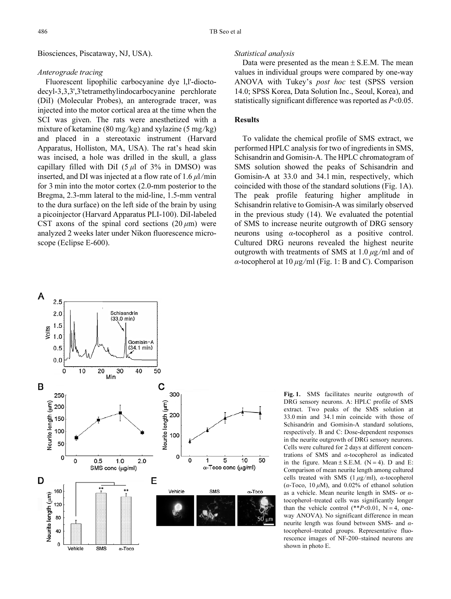Biosciences, Piscataway, NJ, USA).

#### Anterograde tracing

Fluorescent lipophilic carbocyanine dye l,l'-dioctodecyl-3,3,3',3'tetramethylindocarbocyanine perchlorate (DiI) (Molecular Probes), an anterograde tracer, was injected into the motor cortical area at the time when the SCI was given. The rats were anesthetized with a mixture of ketamine (80 mg/kg) and xylazine (5 mg/kg) and placed in a stereotaxic instrument (Harvard Apparatus, Holliston, MA, USA). The rat's head skin was incised, a hole was drilled in the skull, a glass capillary filled with DiI (5  $\mu$ l of 3% in DMSO) was inserted, and DI was injected at a flow rate of 1.6  $\mu$ l/min for 3 min into the motor cortex (2.0-mm posterior to the Bregma, 2.3-mm lateral to the mid-line, 1.5-mm ventral to the dura surface) on the left side of the brain by using a picoinjector (Harvard Apparatus PLI-100). DiI-labeled CST axons of the spinal cord sections  $(20 \mu m)$  were analyzed 2 weeks later under Nikon fluorescence microscope (Eclipse E-600).

#### Statistical analysis

Data were presented as the mean  $\pm$  S.E.M. The mean values in individual groups were compared by one-way ANOVA with Tukey's post hoc test (SPSS version 14.0; SPSS Korea, Data Solution Inc., Seoul, Korea), and statistically significant difference was reported as P<0.05.

# Results

To validate the chemical profile of SMS extract, we performed HPLC analysis for two of ingredients in SMS, Schisandrin and Gomisin-A. The HPLC chromatogram of SMS solution showed the peaks of Schisandrin and Gomisin-A at 33.0 and 34.1 min, respectively, which coincided with those of the standard solutions (Fig. 1A). The peak profile featuring higher amplitude in Schisandrin relative to Gomisin-A was similarly observed in the previous study (14). We evaluated the potential of SMS to increase neurite outgrowth of DRG sensory neurons using  $\alpha$ -tocopherol as a positive control. Cultured DRG neurons revealed the highest neurite outgrowth with treatments of SMS at  $1.0 \,\mu$ g/ml and of α-tocopherol at 10 μg/ml (Fig. 1: B and C). Comparison



Fig. 1. SMS facilitates neurite outgrowth of DRG sensory neurons. A: HPLC profile of SMS extract. Two peaks of the SMS solution at 33.0 min and 34.1 min coincide with those of Schisandrin and Gomisin-A standard solutions, respectively. B and C: Dose-dependent responses in the neurite outgrowth of DRG sensory neurons. Cells were cultured for 2 days at different concentrations of SMS and α-tocopherol as indicated in the figure. Mean  $\pm$  S.E.M. (N = 4). D and E: Comparison of mean neurite length among cultured cells treated with SMS (1  $\mu$ g/ml),  $\alpha$ -tocopherol ( $\alpha$ -Toco, 10  $\mu$ M), and 0.02% of ethanol solution as a vehicle. Mean neurite length in SMS- or αtocopherol–treated cells was significantly longer than the vehicle control (\*\* $P<0.01$ , N = 4, oneway ANOVA). No significant difference in mean neurite length was found between SMS- and αtocopherol–treated groups. Representative fluorescence images of NF-200–stained neurons are shown in photo E.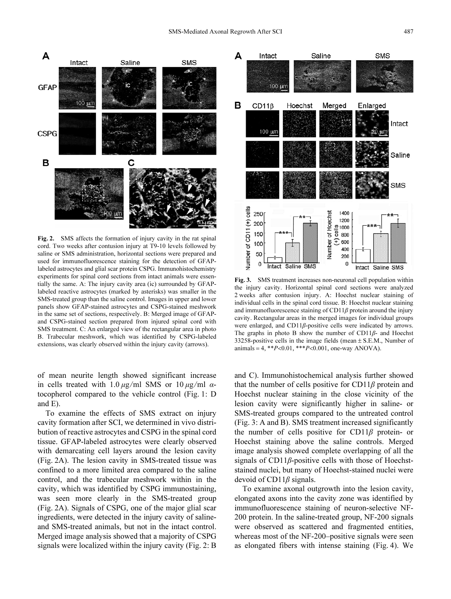

Fig. 2. SMS affects the formation of injury cavity in the rat spinal cord. Two weeks after contusion injury at T9-10 levels followed by saline or SMS administration, horizontal sections were prepared and used for immunofluorescence staining for the detection of GFAPlabeled astrocytes and glial scar protein CSPG. Immunohistochemistry experiments for spinal cord sections from intact animals were essentially the same. A: The injury cavity area (ic) surrounded by GFAPlabeled reactive astrocytes (marked by asterisks) was smaller in the SMS-treated group than the saline control. Images in upper and lower panels show GFAP-stained astrocytes and CSPG-stained meshwork in the same set of sections, respectively. B: Merged image of GFAPand CSPG-stained section prepared from injured spinal cord with SMS treatment. C: An enlarged view of the rectangular area in photo B. Trabecular meshwork, which was identified by CSPG-labeled extensions, was clearly observed within the injury cavity (arrows).

of mean neurite length showed significant increase in cells treated with  $1.0 \mu g/ml$  SMS or  $10 \mu g/ml$   $\alpha$ tocopherol compared to the vehicle control (Fig. 1: D and E).

To examine the effects of SMS extract on injury cavity formation after SCI, we determined in vivo distribution of reactive astrocytes and CSPG in the spinal cord tissue. GFAP-labeled astrocytes were clearly observed with demarcating cell layers around the lesion cavity (Fig. 2A). The lesion cavity in SMS-treated tissue was confined to a more limited area compared to the saline control, and the trabecular meshwork within in the cavity, which was identified by CSPG immunostaining, was seen more clearly in the SMS-treated group (Fig. 2A). Signals of CSPG, one of the major glial scar ingredients, were detected in the injury cavity of salineand SMS-treated animals, but not in the intact control. Merged image analysis showed that a majority of CSPG signals were localized within the injury cavity (Fig. 2: B



Fig. 3. SMS treatment increases non-neuronal cell population within the injury cavity. Horizontal spinal cord sections were analyzed 2 weeks after contusion injury. A: Hoechst nuclear staining of individual cells in the spinal cord tissue. B: Hoechst nuclear staining and immunofluorescence staining of  $CD11\beta$  protein around the injury cavity. Rectangular areas in the merged images for individual groups were enlarged, and CD11β-positive cells were indicated by arrows. The graphs in photo B show the number of CD11 $\beta$ - and Hoechst 33258-positive cells in the image fields (mean  $\pm$  S.E.M., Number of animals = 4, \*\* $P \le 0.01$ , \*\*\* $P \le 0.001$ , one-way ANOVA).

and C). Immunohistochemical analysis further showed that the number of cells positive for CD11 $\beta$  protein and Hoechst nuclear staining in the close vicinity of the lesion cavity were significantly higher in saline- or SMS-treated groups compared to the untreated control (Fig. 3: A and B). SMS treatment increased significantly the number of cells positive for CD11 $\beta$  protein- or Hoechst staining above the saline controls. Merged image analysis showed complete overlapping of all the signals of CD11β-positive cells with those of Hoechststained nuclei, but many of Hoechst-stained nuclei were devoid of CD11 $\beta$  signals.

To examine axonal outgrowth into the lesion cavity, elongated axons into the cavity zone was identified by immunofluorescence staining of neuron-selective NF-200 protein. In the saline-treated group, NF-200 signals were observed as scattered and fragmented entities, whereas most of the NF-200–positive signals were seen as elongated fibers with intense staining (Fig. 4). We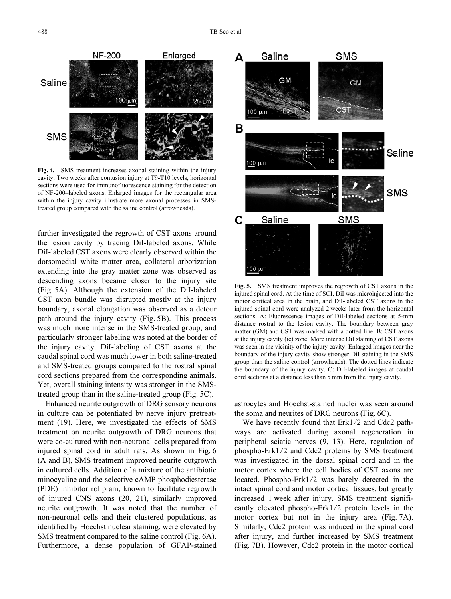

Fig. 4. SMS treatment increases axonal staining within the injury cavity. Two weeks after contusion injury at T9-T10 levels, horizontal sections were used for immunofluorescence staining for the detection of NF-200–labeled axons. Enlarged images for the rectangular area within the injury cavity illustrate more axonal processes in SMStreated group compared with the saline control (arrowheads).

further investigated the regrowth of CST axons around the lesion cavity by tracing DiI-labeled axons. While DiI-labeled CST axons were clearly observed within the dorsomedial white matter area, collateral arborization extending into the gray matter zone was observed as descending axons became closer to the injury site (Fig. 5A). Although the extension of the DiI-labeled CST axon bundle was disrupted mostly at the injury boundary, axonal elongation was observed as a detour path around the injury cavity (Fig. 5B). This process was much more intense in the SMS-treated group, and particularly stronger labeling was noted at the border of the injury cavity. DiI-labeling of CST axons at the caudal spinal cord was much lower in both saline-treated and SMS-treated groups compared to the rostral spinal cord sections prepared from the corresponding animals. Yet, overall staining intensity was stronger in the SMStreated group than in the saline-treated group (Fig. 5C).

Enhanced neurite outgrowth of DRG sensory neurons in culture can be potentiated by nerve injury pretreatment (19). Here, we investigated the effects of SMS treatment on neurite outgrowth of DRG neurons that were co-cultured with non-neuronal cells prepared from injured spinal cord in adult rats. As shown in Fig. 6 (A and B), SMS treatment improved neurite outgrowth in cultured cells. Addition of a mixture of the antibiotic minocycline and the selective cAMP phosphodiesterase (PDE) inhibitor rolipram, known to facilitate regrowth of injured CNS axons (20, 21), similarly improved neurite outgrowth. It was noted that the number of non-neuronal cells and their clustered populations, as identified by Hoechst nuclear staining, were elevated by SMS treatment compared to the saline control (Fig. 6A). Furthermore, a dense population of GFAP-stained



Fig. 5. SMS treatment improves the regrowth of CST axons in the injured spinal cord. At the time of SCI, DiI was microinjected into the motor cortical area in the brain, and DiI-labeled CST axons in the injured spinal cord were analyzed 2 weeks later from the horizontal sections. A: Fluorescence images of DiI-labeled sections at 5-mm distance rostral to the lesion cavity. The boundary between gray matter (GM) and CST was marked with a dotted line. B: CST axons at the injury cavity (ic) zone. More intense DiI staining of CST axons was seen in the vicinity of the injury cavity. Enlarged images near the boundary of the injury cavity show stronger DiI staining in the SMS group than the saline control (arrowheads). The dotted lines indicate the boundary of the injury cavity. C: DiI-labeled images at caudal cord sections at a distance less than 5 mm from the injury cavity.

astrocytes and Hoechst-stained nuclei was seen around the soma and neurites of DRG neurons (Fig. 6C).

We have recently found that Erk1/2 and Cdc2 pathways are activated during axonal regeneration in peripheral sciatic nerves (9, 13). Here, regulation of phospho-Erk1/2 and Cdc2 proteins by SMS treatment was investigated in the dorsal spinal cord and in the motor cortex where the cell bodies of CST axons are located. Phospho-Erk1/2 was barely detected in the intact spinal cord and motor cortical tissues, but greatly increased 1 week after injury. SMS treatment significantly elevated phospho-Erk1/2 protein levels in the motor cortex but not in the injury area (Fig. 7A). Similarly, Cdc2 protein was induced in the spinal cord after injury, and further increased by SMS treatment (Fig. 7B). However, Cdc2 protein in the motor cortical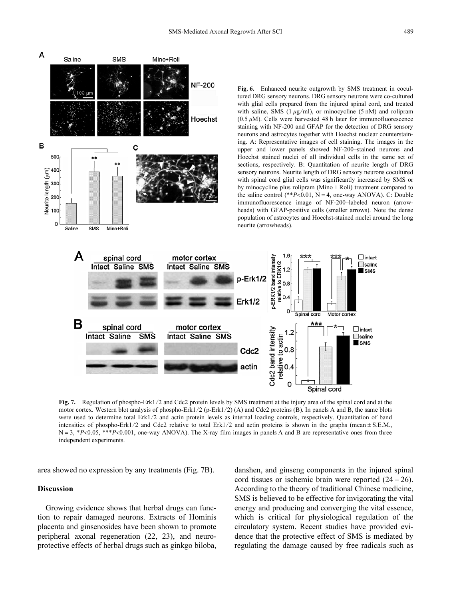

Fig. 6. Enhanced neurite outgrowth by SMS treatment in cocultured DRG sensory neurons. DRG sensory neurons were co-cultured with glial cells prepared from the injured spinal cord, and treated with saline, SMS  $(1 \mu g/ml)$ , or minocycline (5 nM) and rolipram (0.5  $\mu$ M). Cells were harvested 48 h later for immunofluorescence staining with NF-200 and GFAP for the detection of DRG sensory neurons and astrocytes together with Hoechst nuclear counterstaining. A: Representative images of cell staining. The images in the upper and lower panels showed NF-200–stained neurons and Hoechst stained nuclei of all individual cells in the same set of sections, respectively. B: Quantitation of neurite length of DRG sensory neurons. Neurite length of DRG sensory neurons cocultured with spinal cord glial cells was significantly increased by SMS or by minocycline plus rolipram (Mino + Roli) treatment compared to the saline control (\*\* $P<0.01$ , N = 4, one-way ANOVA). C: Double immunofluorescence image of NF-200–labeled neuron (arrowheads) with GFAP-positive cells (smaller arrows). Note the dense population of astrocytes and Hoechst-stained nuclei around the long neurite (arrowheads).



Fig. 7. Regulation of phospho-Erk1/2 and Cdc2 protein levels by SMS treatment at the injury area of the spinal cord and at the motor cortex. Western blot analysis of phospho-Erk1/2 (p-Erk1/2) (A) and Cdc2 proteins (B). In panels A and B, the same blots were used to determine total Erk1/2 and actin protein levels as internal loading controls, respectively. Quantitation of band intensities of phospho-Erk1/2 and Cdc2 relative to total Erk1/2 and actin proteins is shown in the graphs (mean <sup>±</sup> S.E.M.,  $N = 3$ , \*P<0.05, \*\*\*P<0.001, one-way ANOVA). The X-ray film images in panels A and B are representative ones from three independent experiments.

area showed no expression by any treatments (Fig. 7B).

## Discussion

Growing evidence shows that herbal drugs can function to repair damaged neurons. Extracts of Hominis placenta and ginsenosides have been shown to promote peripheral axonal regeneration (22, 23), and neuroprotective effects of herbal drugs such as ginkgo biloba,

danshen, and ginseng components in the injured spinal cord tissues or ischemic brain were reported  $(24 – 26)$ . According to the theory of traditional Chinese medicine, SMS is believed to be effective for invigorating the vital energy and producing and converging the vital essence, which is critical for physiological regulation of the circulatory system. Recent studies have provided evidence that the protective effect of SMS is mediated by regulating the damage caused by free radicals such as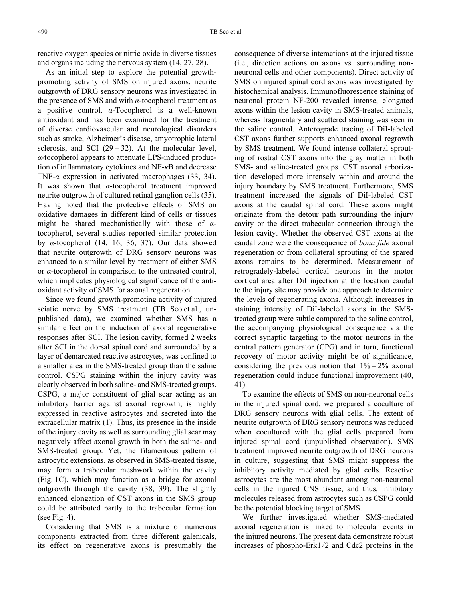reactive oxygen species or nitric oxide in diverse tissues and organs including the nervous system (14, 27, 28).

As an initial step to explore the potential growthpromoting activity of SMS on injured axons, neurite outgrowth of DRG sensory neurons was investigated in the presence of SMS and with  $\alpha$ -tocopherol treatment as a positive control.  $\alpha$ -Tocopherol is a well-known antioxidant and has been examined for the treatment of diverse cardiovascular and neurological disorders such as stroke, Alzheimer's disease, amyotrophic lateral sclerosis, and SCI  $(29-32)$ . At the molecular level, α-tocopherol appears to attenuate LPS-induced production of inflammatory cytokines and NF-κB and decrease TNF- $\alpha$  expression in activated macrophages (33, 34). It was shown that  $\alpha$ -tocopherol treatment improved neurite outgrowth of cultured retinal ganglion cells (35). Having noted that the protective effects of SMS on oxidative damages in different kind of cells or tissues might be shared mechanistically with those of  $\alpha$ tocopherol, several studies reported similar protection by  $\alpha$ -tocopherol (14, 16, 36, 37). Our data showed that neurite outgrowth of DRG sensory neurons was enhanced to a similar level by treatment of either SMS or α-tocopherol in comparison to the untreated control, which implicates physiological significance of the antioxidant activity of SMS for axonal regeneration.

Since we found growth-promoting activity of injured sciatic nerve by SMS treatment (TB Seo et al., unpublished data), we examined whether SMS has a similar effect on the induction of axonal regenerative responses after SCI. The lesion cavity, formed 2 weeks after SCI in the dorsal spinal cord and surrounded by a layer of demarcated reactive astrocytes, was confined to a smaller area in the SMS-treated group than the saline control. CSPG staining within the injury cavity was clearly observed in both saline- and SMS-treated groups. CSPG, a major constituent of glial scar acting as an inhibitory barrier against axonal regrowth, is highly expressed in reactive astrocytes and secreted into the extracellular matrix (1). Thus, its presence in the inside of the injury cavity as well as surrounding glial scar may negatively affect axonal growth in both the saline- and SMS-treated group. Yet, the filamentous pattern of astrocytic extensions, as observed in SMS-treated tissue, may form a trabecular meshwork within the cavity (Fig. 1C), which may function as a bridge for axonal outgrowth through the cavity (38, 39). The slightly enhanced elongation of CST axons in the SMS group could be attributed partly to the trabecular formation  $(see Fig. 4).$ 

Considering that SMS is a mixture of numerous components extracted from three different galenicals, its effect on regenerative axons is presumably the consequence of diverse interactions at the injured tissue (i.e., direction actions on axons vs. surrounding nonneuronal cells and other components). Direct activity of SMS on injured spinal cord axons was investigated by histochemical analysis. Immunofluorescence staining of neuronal protein NF-200 revealed intense, elongated axons within the lesion cavity in SMS-treated animals, whereas fragmentary and scattered staining was seen in the saline control. Anterograde tracing of DiI-labeled CST axons further supports enhanced axonal regrowth by SMS treatment. We found intense collateral sprouting of rostral CST axons into the gray matter in both SMS- and saline-treated groups. CST axonal arborization developed more intensely within and around the injury boundary by SMS treatment. Furthermore, SMS treatment increased the signals of DiI-labeled CST axons at the caudal spinal cord. These axons might originate from the detour path surrounding the injury cavity or the direct trabecular connection through the lesion cavity. Whether the observed CST axons at the caudal zone were the consequence of bona fide axonal regeneration or from collateral sprouting of the spared axons remains to be determined. Measurement of retrogradely-labeled cortical neurons in the motor cortical area after DiI injection at the location caudal to the injury site may provide one approach to determine the levels of regenerating axons. Although increases in staining intensity of DiI-labeled axons in the SMStreated group were subtle compared to the saline control, the accompanying physiological consequence via the correct synaptic targeting to the motor neurons in the central pattern generator (CPG) and in turn, functional recovery of motor activity might be of significance, considering the previous notion that  $1\% - 2\%$  axonal regeneration could induce functional improvement (40, 41).

To examine the effects of SMS on non-neuronal cells in the injured spinal cord, we prepared a coculture of DRG sensory neurons with glial cells. The extent of neurite outgrowth of DRG sensory neurons was reduced when cocultured with the glial cells prepared from injured spinal cord (unpublished observation). SMS treatment improved neurite outgrowth of DRG neurons in culture, suggesting that SMS might suppress the inhibitory activity mediated by glial cells. Reactive astrocytes are the most abundant among non-neuronal cells in the injured CNS tissue, and thus, inhibitory molecules released from astrocytes such as CSPG could be the potential blocking target of SMS.

We further investigated whether SMS-mediated axonal regeneration is linked to molecular events in the injured neurons. The present data demonstrate robust increases of phospho-Erk1/2 and Cdc2 proteins in the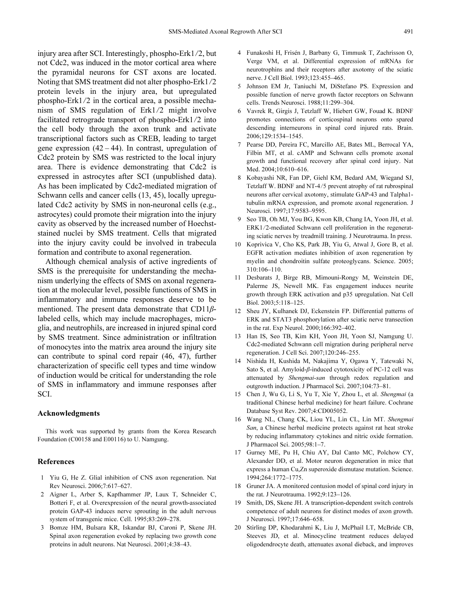injury area after SCI. Interestingly, phospho-Erk1/2, but not Cdc2, was induced in the motor cortical area where the pyramidal neurons for CST axons are located. Noting that SMS treatment did not alter phospho-Erk1/2 protein levels in the injury area, but upregulated phospho-Erk1/2 in the cortical area, a possible mechanism of SMS regulation of Erk1/2 might involve facilitated retrograde transport of phospho-Erk1/2 into the cell body through the axon trunk and activate transcriptional factors such as CREB, leading to target gene expression  $(42 - 44)$ . In contrast, upregulation of Cdc2 protein by SMS was restricted to the local injury area. There is evidence demonstrating that Cdc2 is expressed in astrocytes after SCI (unpublished data). As has been implicated by Cdc2-mediated migration of Schwann cells and cancer cells (13, 45), locally upregulated Cdc2 activity by SMS in non-neuronal cells (e.g., astrocytes) could promote their migration into the injury cavity as observed by the increased number of Hoechststained nuclei by SMS treatment. Cells that migrated into the injury cavity could be involved in trabecula formation and contribute to axonal regeneration.

Although chemical analysis of active ingredients of SMS is the prerequisite for understanding the mechanism underlying the effects of SMS on axonal regeneration at the molecular level, possible functions of SMS in inflammatory and immune responses deserve to be mentioned. The present data demonstrate that CD11βlabeled cells, which may include macrophages, microglia, and neutrophils, are increased in injured spinal cord by SMS treatment. Since administration or infiltration of monocytes into the matrix area around the injury site can contribute to spinal cord repair (46, 47), further characterization of specific cell types and time window of induction would be critical for understanding the role of SMS in inflammatory and immune responses after SCI.

### Acknowledgments

This work was supported by grants from the Korea Research Foundation (C00158 and E00116) to U. Namgung.

# References

- 1 Yiu G, He Z. Glial inhibition of CNS axon regeneration. Nat Rev Neurosci. 2006;7:617–627.
- 2 Aigner L, Arber S, Kapfhammer JP, Laux T, Schneider C, Botteri F, et al. Overexpression of the neural growth-associated protein GAP-43 induces nerve sprouting in the adult nervous system of transgenic mice. Cell. 1995;83:269–278.
- 3 Bomze HM, Bulsara KR, Iskandar BJ, Caroni P, Skene JH. Spinal axon regeneration evoked by replacing two growth cone proteins in adult neurons. Nat Neurosci. 2001;4:38–43.
- 4 Funakoshi H, Frisén J, Barbany G, Timmusk T, Zachrisson O, Verge VM, et al. Differential expression of mRNAs for neurotrophins and their receptors after axotomy of the sciatic nerve. J Cell Biol. 1993;123:455–465.
- 5 Johnson EM Jr, Taniuchi M, DiStefano PS. Expression and possible function of nerve growth factor receptors on Schwann cells. Trends Neurosci. 1988;11:299–304.
- 6 Vavrek R, Girgis J, Tetzlaff W, Hiebert GW, Fouad K. BDNF promotes connections of corticospinal neurons onto spared descending interneurons in spinal cord injured rats. Brain. 2006;129:1534–1545.
- 7 Pearse DD, Pereira FC, Marcillo AE, Bates ML, Berrocal YA, Filbin MT, et al. cAMP and Schwann cells promote axonal growth and functional recovery after spinal cord injury. Nat Med. 2004;10:610–616.
- 8 Kobayashi NR, Fan DP, Giehl KM, Bedard AM, Wiegand SJ, Tetzlaff W. BDNF and NT-4/5 prevent atrophy of rat rubrospinal neurons after cervical axotomy, stimulate GAP-43 and Talpha1 tubulin mRNA expression, and promote axonal regeneration. J Neurosci. 1997;17:9583–9595.
- 9 Seo TB, Oh MJ, You BG, Kwon KB, Chang IA, Yoon JH, et al. ERK1/2-mediated Schwann cell proliferation in the regenerating sciatic nerves by treadmill training. J Neurotrauma. In press.
- 10 Koprivica V, Cho KS, Park JB, Yiu G, Atwal J, Gore B, et al. EGFR activation mediates inhibition of axon regeneration by myelin and chondroitin sulfate proteoglycans. Science. 2005; 310:106–110.
- 11 Desbarats J, Birge RB, Mimouni-Rongy M, Weinstein DE, Palerme JS, Newell MK. Fas engagement induces neurite growth through ERK activation and p35 upregulation. Nat Cell Biol. 2003;5:118–125.
- 12 Sheu JY, Kulhanek DJ, Eckenstein FP. Differential patterns of ERK and STAT3 phosphorylation after sciatic nerve transection in the rat. Exp Neurol. 2000;166:392–402.
- 13 Han IS, Seo TB, Kim KH, Yoon JH, Yoon SJ, Namgung U. Cdc2-mediated Schwann cell migration during peripheral nerve regeneration. J Cell Sci. 2007;120:246–255.
- 14 Nishida H, Kushida M, Nakajima Y, Ogawa Y, Tatewaki N, Sato S, et al. Amyloid-β-induced cytotoxicity of PC-12 cell was attenuated by Shengmai-san through redox regulation and outgrowth induction. J Pharmacol Sci. 2007;104:73–81.
- 15 Chen J, Wu G, Li S, Yu T, Xie Y, Zhou L, et al. Shengmai (a traditional Chinese herbal medicine) for heart failure. Cochrane Database Syst Rev. 2007;4:CD005052.
- 16 Wang NL, Chang CK, Liou YL, Lin CL, Lin MT. Shengmai San, a Chinese herbal medicine protects against rat heat stroke by reducing inflammatory cytokines and nitric oxide formation. J Pharmacol Sci. 2005;98:1–7.
- 17 Gurney ME, Pu H, Chiu AY, Dal Canto MC, Polchow CY, Alexander DD, et al. Motor neuron degeneration in mice that express a human Cu,Zn superoxide dismutase mutation. Science. 1994;264:1772–1775.
- 18 Gruner JA. A monitored contusion model of spinal cord injury in the rat. J Neurotrauma. 1992;9:123–126.
- 19 Smith, DS, Skene JH. A transcription-dependent switch controls competence of adult neurons for distinct modes of axon growth. J Neurosci. 1997;17:646–658.
- 20 Stirling DP, Khodarahmi K, Liu J, McPhail LT, McBride CB, Steeves JD, et al. Minocycline treatment reduces delayed oligodendrocyte death, attenuates axonal dieback, and improves